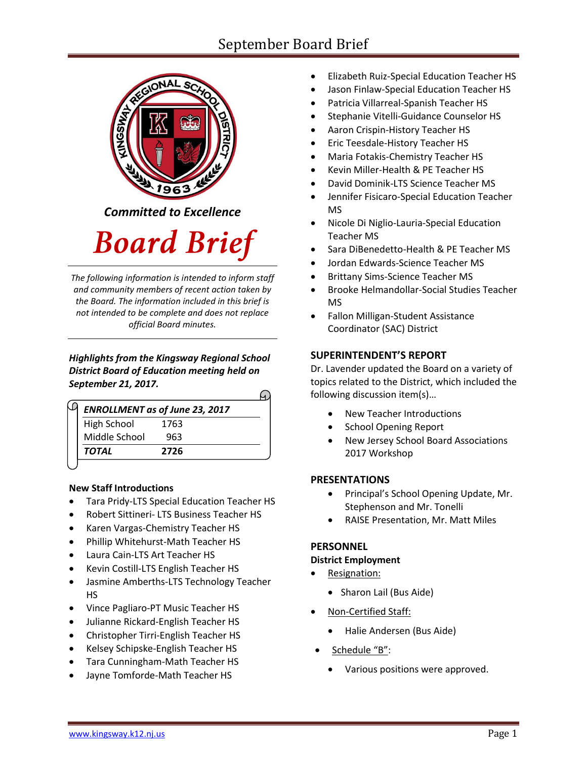# September Board Brief



*Committed to Excellence*

# **Board Brief**

*The following information is intended to inform staff and community members of recent action taken by the Board. The information included in this brief is not intended to be complete and does not replace official Board minutes.*

## *Highlights from the Kingsway Regional School District Board of Education meeting held on September 21, 2017.*

|               | <b>ENROLLMENT as of June 23, 2017</b> |  |
|---------------|---------------------------------------|--|
| High School   | 1763                                  |  |
| Middle School | 963                                   |  |
| <b>TOTAL</b>  | 2726                                  |  |

# **New Staff Introductions**

- **•** Tara Pridy-LTS Special Education Teacher HS
- Robert Sittineri- LTS Business Teacher HS
- Karen Vargas-Chemistry Teacher HS
- Phillip Whitehurst-Math Teacher HS
- Laura Cain-LTS Art Teacher HS
- Kevin Costill-LTS English Teacher HS
- Jasmine Amberths-LTS Technology Teacher HS
- Vince Pagliaro-PT Music Teacher HS
- Julianne Rickard-English Teacher HS
- Christopher Tirri-English Teacher HS
- Kelsey Schipske-English Teacher HS
- Tara Cunningham-Math Teacher HS
- Jayne Tomforde-Math Teacher HS
- Elizabeth Ruiz-Special Education Teacher HS
- Jason Finlaw-Special Education Teacher HS
- Patricia Villarreal-Spanish Teacher HS
- Stephanie Vitelli-Guidance Counselor HS
- Aaron Crispin-History Teacher HS
- Eric Teesdale-History Teacher HS
- Maria Fotakis-Chemistry Teacher HS
- Kevin Miller-Health & PE Teacher HS
- David Dominik-LTS Science Teacher MS
- Jennifer Fisicaro-Special Education Teacher MS
- Nicole Di Niglio-Lauria-Special Education Teacher MS
- Sara DiBenedetto-Health & PE Teacher MS
- Jordan Edwards-Science Teacher MS
- Brittany Sims-Science Teacher MS
- Brooke Helmandollar-Social Studies Teacher MS
- Fallon Milligan-Student Assistance Coordinator (SAC) District

# **SUPERINTENDENT'S REPORT**

Dr. Lavender updated the Board on a variety of topics related to the District, which included the following discussion item(s)…

- [New](https://www.krsd.org/Domain/48) Teacher Introductions
- School Opening Report
- New Jersey School Board Associations 2017 Workshop

# **PRESENTATIONS**

- Principal's School Opening Update, Mr. Stephenson and Mr. Tonelli
- RAISE Presentation, Mr. Matt Miles

#### **PERSONNEL**

#### **District Employment**

- Resignation:
	- Sharon Lail (Bus Aide)
- Non-Certified Staff:
	- Halie Andersen (Bus Aide)
- Schedule "B":
	- Various positions were approved.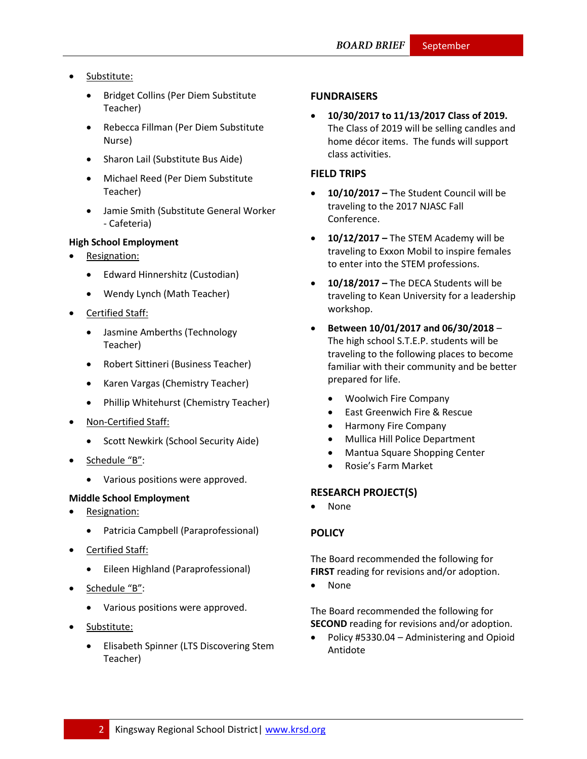- Substitute:
	- Bridget Collins (Per Diem Substitute Teacher)
	- Rebecca Fillman (Per Diem Substitute Nurse)
	- Sharon Lail (Substitute Bus Aide)
	- Michael Reed (Per Diem Substitute Teacher)
	- Jamie Smith (Substitute General Worker - Cafeteria)

#### **High School Employment**

- Resignation:
	- Edward Hinnershitz (Custodian)
	- Wendy Lynch (Math Teacher)
- Certified Staff:
	- Jasmine Amberths (Technology Teacher)
	- Robert Sittineri (Business Teacher)
	- Karen Vargas (Chemistry Teacher)
	- Phillip Whitehurst (Chemistry Teacher)
- Non-Certified Staff:
	- **•** Scott Newkirk (School Security Aide)
- Schedule "B":
	- Various positions were approved.

#### **Middle School Employment**

- Resignation:
	- Patricia Campbell (Paraprofessional)
- Certified Staff:
	- Eileen Highland (Paraprofessional)
- Schedule "B":
	- Various positions were approved.
- Substitute:
	- Elisabeth Spinner (LTS Discovering Stem Teacher)

#### **FUNDRAISERS**

 **10/30/2017 to 11/13/2017 Class of 2019.** The Class of 2019 will be selling candles and home décor items. The funds will support class activities.

#### **FIELD TRIPS**

- **10/10/2017 –** The Student Council will be traveling to the 2017 NJASC Fall Conference.
- **10/12/2017 –** The STEM Academy will be traveling to Exxon Mobil to inspire females to enter into the STEM professions.
- **10/18/2017 –** The DECA Students will be traveling to Kean University for a leadership workshop.
- **Between 10/01/2017 and 06/30/2018** The high school S.T.E.P. students will be traveling to the following places to become familiar with their community and be better prepared for life.
	- Woolwich Fire Company
	- East Greenwich Fire & Rescue
	- Harmony Fire Company
	- Mullica Hill Police Department
	- Mantua Square Shopping Center
	- Rosie's Farm Market

#### **RESEARCH PROJECT(S)**

None

#### **[POLICY](http://www.straussesmay.com/seportal/Public/DistrictPolicyTOC.aspx?id=f0cc945ef3894b8d9ad5f87d948ca425&PolicyID=)**

The Board recommended the following for **FIRST** reading for revisions and/or adoption.

None

The Board recommended the following for **SECOND** reading for revisions and/or adoption.

 Policy #5330.04 – Administering and Opioid Antidote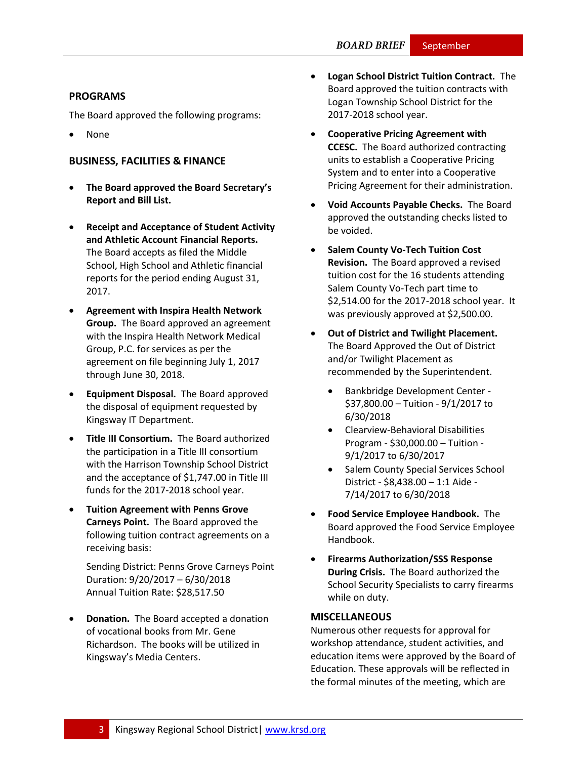#### **PROGRAMS**

The Board approved the following programs:

None

## **BUSINESS, FACILITIES & FINANCE**

- **The Board approved the Board Secretary's Report and Bill List.**
- **Receipt and Acceptance of Student Activity and Athletic Account Financial Reports.** The Board accepts as filed the Middle School, High School and Athletic financial reports for the period ending August 31, 2017.
- **Agreement with Inspira Health Network Group.** The Board approved an agreement with the Inspira Health Network Medical Group, P.C. for services as per the agreement on file beginning July 1, 2017 through June 30, 2018.
- **Equipment Disposal.** The Board approved the disposal of equipment requested by Kingsway IT Department.
- **Title III Consortium.** The Board authorized the participation in a Title III consortium with the Harrison Township School District and the acceptance of \$1,747.00 in Title III funds for the 2017-2018 school year.
- **Tuition Agreement with Penns Grove Carneys Point.** The Board approved the following tuition contract agreements on a receiving basis:

Sending District: Penns Grove Carneys Point Duration: 9/20/2017 – 6/30/2018 Annual Tuition Rate: \$28,517.50

 **Donation.** The Board accepted a donation of vocational books from Mr. Gene Richardson. The books will be utilized in Kingsway's Media Centers.

- **Logan School District Tuition Contract.** The Board approved the tuition contracts with Logan Township School District for the 2017-2018 school year.
- **Cooperative Pricing Agreement with CCESC.** The Board authorized contracting units to establish a Cooperative Pricing System and to enter into a Cooperative Pricing Agreement for their administration.
- **Void Accounts Payable Checks.** The Board approved the outstanding checks listed to be voided.
- **•** Salem County Vo-Tech Tuition Cost **Revision.** The Board approved a revised tuition cost for the 16 students attending Salem County Vo-Tech part time to \$2,514.00 for the 2017-2018 school year. It was previously approved at \$2,500.00.
- **Out of District and Twilight Placement.**  The Board Approved the Out of District and/or Twilight Placement as recommended by the Superintendent.
	- Bankbridge Development Center \$37,800.00 – Tuition - 9/1/2017 to 6/30/2018
	- Clearview-Behavioral Disabilities Program - \$30,000.00 – Tuition - 9/1/2017 to 6/30/2017
	- Salem County Special Services School District - \$8,438.00 – 1:1 Aide - 7/14/2017 to 6/30/2018
- **Food Service Employee Handbook.** The Board approved the Food Service Employee Handbook.
- **Firearms Authorization/SSS Response During Crisis.** The Board authorized the School Security Specialists to carry firearms while on duty.

#### **MISCELLANEOUS**

Numerous other requests for approval for workshop attendance, student activities, and education items were approved by the Board of Education. These approvals will be reflected in the formal minutes of the meeting, which are